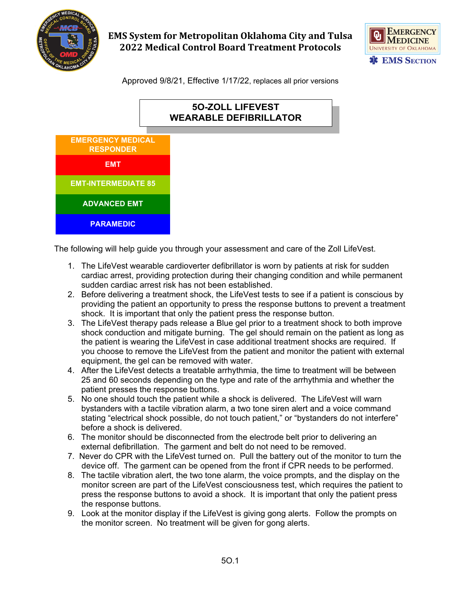

## **EMS System for Metropolitan Oklahoma City and Tulsa 2022 Medical Control Board Treatment Protocols**



Approved 9/8/21, Effective 1/17/22, replaces all prior versions

# **5O-ZOLL LIFEVEST WEARABLE DEFIBRILLATOR**



The following will help guide you through your assessment and care of the Zoll LifeVest.

- 1. The LifeVest wearable cardioverter defibrillator is worn by patients at risk for sudden cardiac arrest, providing protection during their changing condition and while permanent sudden cardiac arrest risk has not been established.
- 2. Before delivering a treatment shock, the LifeVest tests to see if a patient is conscious by providing the patient an opportunity to press the response buttons to prevent a treatment shock. It is important that only the patient press the response button.
- 3. The LifeVest therapy pads release a Blue gel prior to a treatment shock to both improve shock conduction and mitigate burning. The gel should remain on the patient as long as the patient is wearing the LifeVest in case additional treatment shocks are required. If you choose to remove the LifeVest from the patient and monitor the patient with external equipment, the gel can be removed with water.
- 4. After the LifeVest detects a treatable arrhythmia, the time to treatment will be between 25 and 60 seconds depending on the type and rate of the arrhythmia and whether the patient presses the response buttons.
- 5. No one should touch the patient while a shock is delivered. The LifeVest will warn bystanders with a tactile vibration alarm, a two tone siren alert and a voice command stating "electrical shock possible, do not touch patient," or "bystanders do not interfere" before a shock is delivered.
- 6. The monitor should be disconnected from the electrode belt prior to delivering an external defibrillation. The garment and belt do not need to be removed.
- 7. Never do CPR with the LifeVest turned on. Pull the battery out of the monitor to turn the device off. The garment can be opened from the front if CPR needs to be performed.
- 8. The tactile vibration alert, the two tone alarm, the voice prompts, and the display on the monitor screen are part of the LifeVest consciousness test, which requires the patient to press the response buttons to avoid a shock. It is important that only the patient press the response buttons.
- 9. Look at the monitor display if the LifeVest is giving gong alerts. Follow the prompts on the monitor screen. No treatment will be given for gong alerts.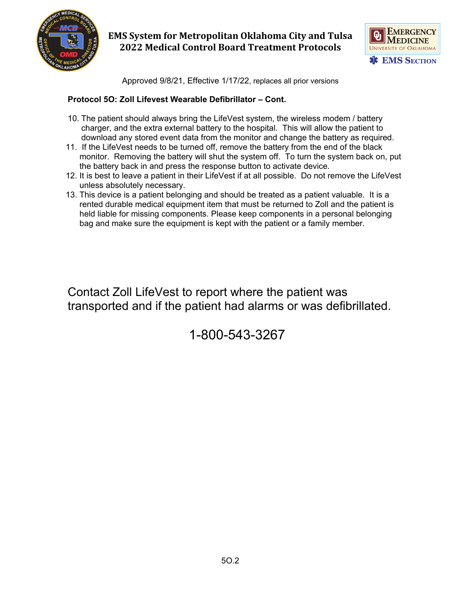

## **EMS System for Metropolitan Oklahoma City and Tulsa 2022 Medical Control Board Treatment Protocols**



Approved 9/8/21, Effective 1/17/22, replaces all prior versions

#### **Protocol 5O: Zoll Lifevest Wearable Defibrillator – Cont.**

- 10. The patient should always bring the LifeVest system, the wireless modem / battery charger, and the extra external battery to the hospital. This will allow the patient to download any stored event data from the monitor and change the battery as required.
- 11. If the LifeVest needs to be turned off, remove the battery from the end of the black monitor. Removing the battery will shut the system off. To turn the system back on, put the battery back in and press the response button to activate device.
- 12. It is best to leave a patient in their LifeVest if at all possible. Do not remove the LifeVest unless absolutely necessary.
- 13. This device is a patient belonging and should be treated as a patient valuable. It is a rented durable medical equipment item that must be returned to Zoll and the patient is held liable for missing components. Please keep components in a personal belonging bag and make sure the equipment is kept with the patient or a family member.

Contact Zoll LifeVest to report where the patient was transported and if the patient had alarms or was defibrillated.

1-800-543-3267